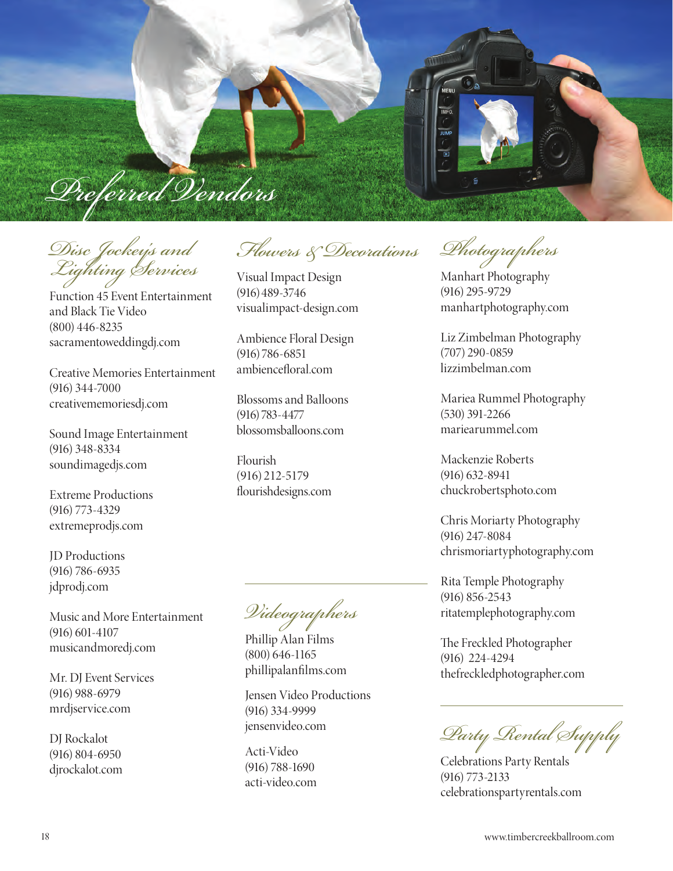

*Disc Jockey's and Lighting Services*

Function 45 Event Entertainment and Black Tie Video (800) 446-8235 sacramentoweddingdj.com

Creative Memories Entertainment (916) 344-7000 creativememoriesdj.com

Sound Image Entertainment (916) 348-8334 soundimagedjs.com

Extreme Productions (916) 773-4329 extremeprodjs.com

JD Productions (916) 786-6935 jdprodj.com

Music and More Entertainment (916) 601-4107 musicandmoredj.com

Mr. DJ Event Services (916) 988-6979 mrdjservice.com

DJ Rockalot (916) 804-6950 djrockalot.com

*Flowers & Decorations*

Visual Impact Design (916)489-3746 visualimpact-design.com

Ambience Floral Design (916) 786-6851 ambiencefloral.com

Blossoms and Balloons (916) 783-4477 blossomsballoons.com

Flourish (916) 212-5179 flourishdesigns.com

*Videographers*

Phillip Alan Films (800) 646-1165 phillipalanfilms.com

Jensen Video Productions (916) 334-9999 jensenvideo.com

Acti-Video (916) 788-1690 acti-video.com

*Photographers*

Manhart Photography (916) 295-9729 manhartphotography.com

Liz Zimbelman Photography (707) 290-0859 lizzimbelman.com

Mariea Rummel Photography (530) 391-2266 mariearummel.com

Mackenzie Roberts (916) 632-8941 chuckrobertsphoto.com

Chris Moriarty Photography (916) 247-8084 chrismoriartyphotography.com

Rita Temple Photography (916) 856-2543 ritatemplephotography.com

The Freckled Photographer (916) 224-4294 thefreckledphotographer.com

*Party Rental Supply*

Celebrations Party Rentals (916) 773-2133 celebrationspartyrentals.com